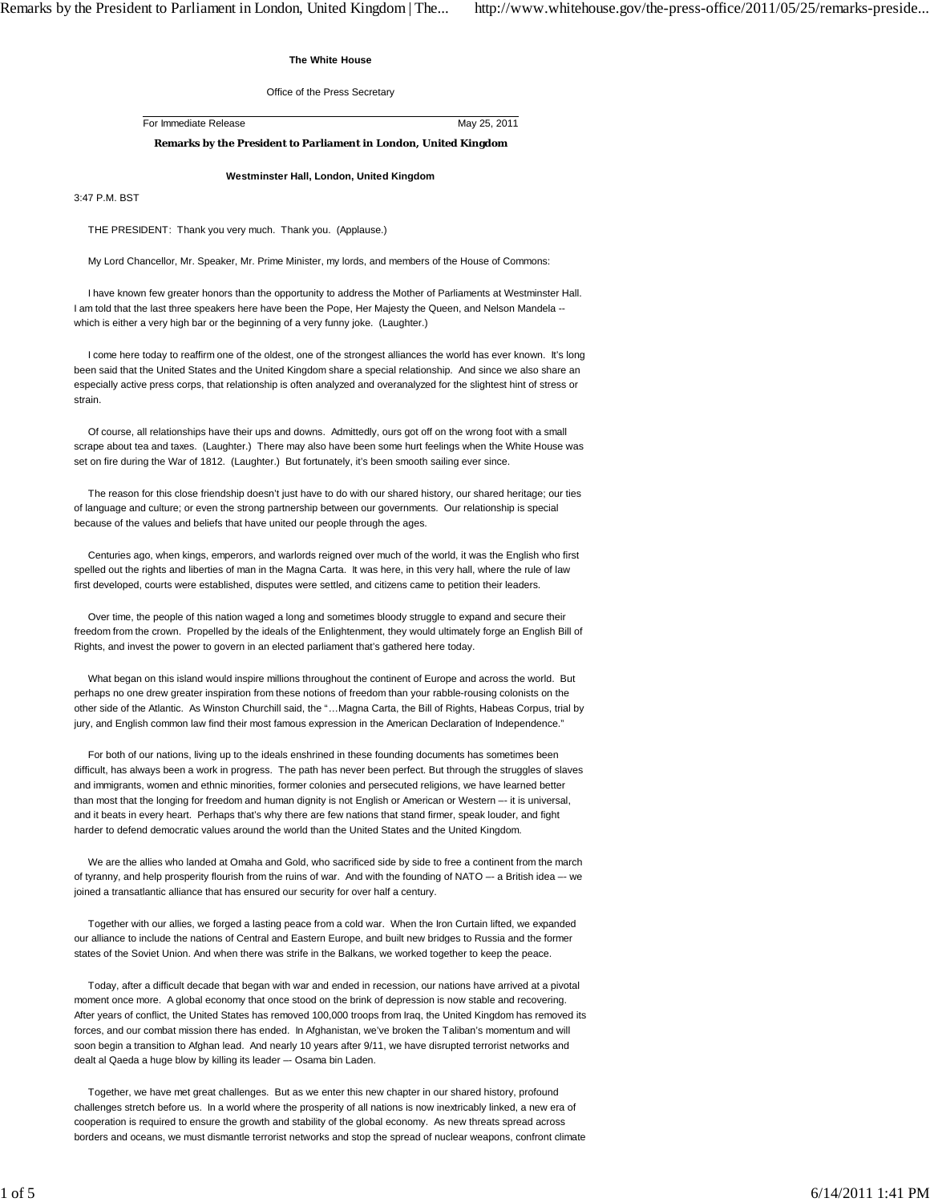## **The White House**

Office of the Press Secretary

For Immediate Release May 25, 2011

**Remarks by the President to Parliament in London, United Kingdom**

**Westminster Hall, London, United Kingdom**

3:47 P.M. BST

THE PRESIDENT: Thank you very much. Thank you. (Applause.)

My Lord Chancellor, Mr. Speaker, Mr. Prime Minister, my lords, and members of the House of Commons:

 I have known few greater honors than the opportunity to address the Mother of Parliaments at Westminster Hall. I am told that the last three speakers here have been the Pope, Her Majesty the Queen, and Nelson Mandela - which is either a very high bar or the beginning of a very funny joke. (Laughter.)

 I come here today to reaffirm one of the oldest, one of the strongest alliances the world has ever known. It's long been said that the United States and the United Kingdom share a special relationship. And since we also share an especially active press corps, that relationship is often analyzed and overanalyzed for the slightest hint of stress or strain.

 Of course, all relationships have their ups and downs. Admittedly, ours got off on the wrong foot with a small scrape about tea and taxes. (Laughter.) There may also have been some hurt feelings when the White House was set on fire during the War of 1812. (Laughter.) But fortunately, it's been smooth sailing ever since.

 The reason for this close friendship doesn't just have to do with our shared history, our shared heritage; our ties of language and culture; or even the strong partnership between our governments. Our relationship is special because of the values and beliefs that have united our people through the ages.

 Centuries ago, when kings, emperors, and warlords reigned over much of the world, it was the English who first spelled out the rights and liberties of man in the Magna Carta. It was here, in this very hall, where the rule of law first developed, courts were established, disputes were settled, and citizens came to petition their leaders.

 Over time, the people of this nation waged a long and sometimes bloody struggle to expand and secure their freedom from the crown. Propelled by the ideals of the Enlightenment, they would ultimately forge an English Bill of Rights, and invest the power to govern in an elected parliament that's gathered here today.

What began on this island would inspire millions throughout the continent of Europe and across the world. But perhaps no one drew greater inspiration from these notions of freedom than your rabble-rousing colonists on the other side of the Atlantic. As Winston Churchill said, the "…Magna Carta, the Bill of Rights, Habeas Corpus, trial by jury, and English common law find their most famous expression in the American Declaration of Independence."

 For both of our nations, living up to the ideals enshrined in these founding documents has sometimes been difficult, has always been a work in progress. The path has never been perfect. But through the struggles of slaves and immigrants, women and ethnic minorities, former colonies and persecuted religions, we have learned better than most that the longing for freedom and human dignity is not English or American or Western –- it is universal, and it beats in every heart. Perhaps that's why there are few nations that stand firmer, speak louder, and fight harder to defend democratic values around the world than the United States and the United Kingdom.

 We are the allies who landed at Omaha and Gold, who sacrificed side by side to free a continent from the march of tyranny, and help prosperity flourish from the ruins of war. And with the founding of NATO –- a British idea –- we joined a transatlantic alliance that has ensured our security for over half a century.

 Together with our allies, we forged a lasting peace from a cold war. When the Iron Curtain lifted, we expanded our alliance to include the nations of Central and Eastern Europe, and built new bridges to Russia and the former states of the Soviet Union. And when there was strife in the Balkans, we worked together to keep the peace.

 Today, after a difficult decade that began with war and ended in recession, our nations have arrived at a pivotal moment once more. A global economy that once stood on the brink of depression is now stable and recovering. After years of conflict, the United States has removed 100,000 troops from Iraq, the United Kingdom has removed its forces, and our combat mission there has ended. In Afghanistan, we've broken the Taliban's momentum and will soon begin a transition to Afghan lead. And nearly 10 years after 9/11, we have disrupted terrorist networks and dealt al Qaeda a huge blow by killing its leader –- Osama bin Laden.

 Together, we have met great challenges. But as we enter this new chapter in our shared history, profound challenges stretch before us. In a world where the prosperity of all nations is now inextricably linked, a new era of cooperation is required to ensure the growth and stability of the global economy. As new threats spread across borders and oceans, we must dismantle terrorist networks and stop the spread of nuclear weapons, confront climate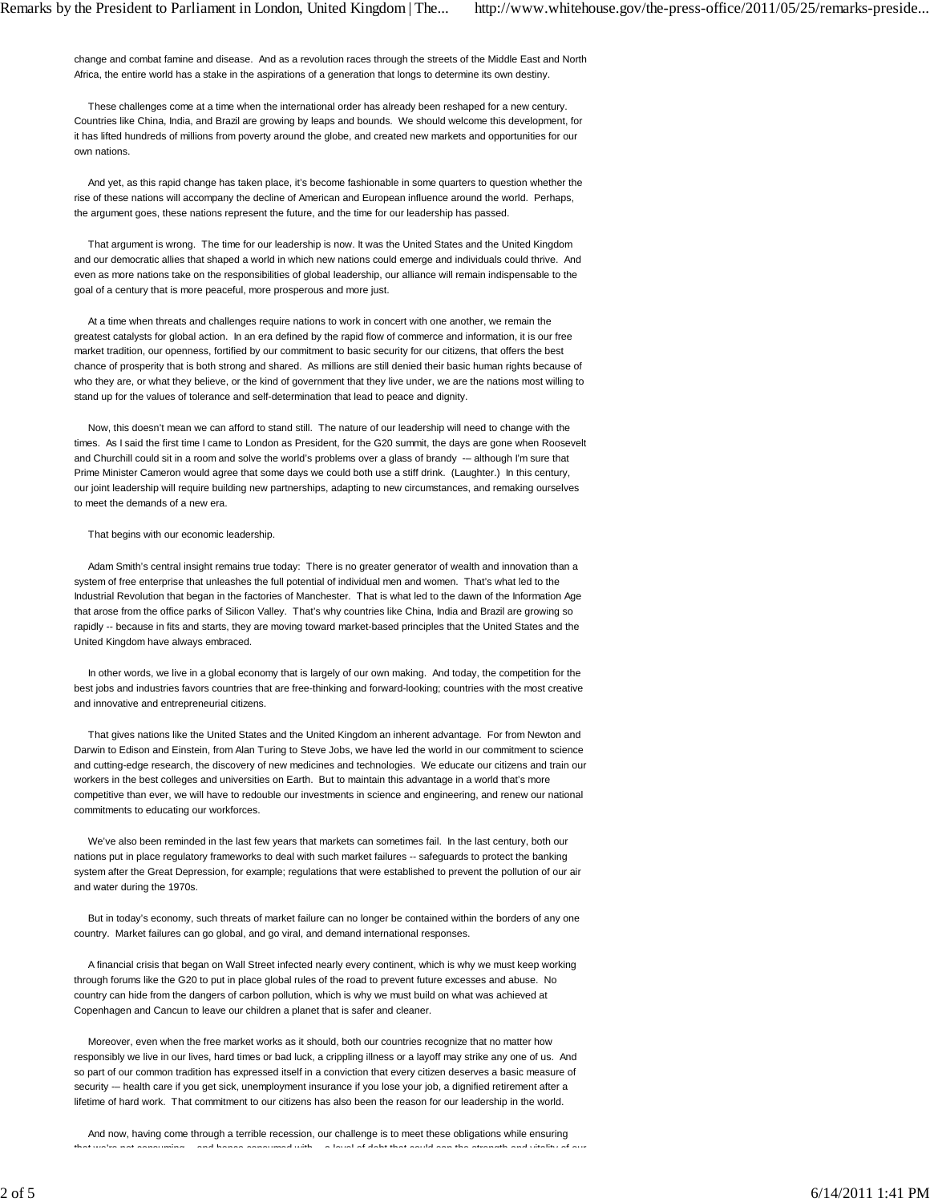change and combat famine and disease. And as a revolution races through the streets of the Middle East and North Africa, the entire world has a stake in the aspirations of a generation that longs to determine its own destiny.

 These challenges come at a time when the international order has already been reshaped for a new century. Countries like China, India, and Brazil are growing by leaps and bounds. We should welcome this development, for it has lifted hundreds of millions from poverty around the globe, and created new markets and opportunities for our own nations.

 And yet, as this rapid change has taken place, it's become fashionable in some quarters to question whether the rise of these nations will accompany the decline of American and European influence around the world. Perhaps, the argument goes, these nations represent the future, and the time for our leadership has passed.

 That argument is wrong. The time for our leadership is now. It was the United States and the United Kingdom and our democratic allies that shaped a world in which new nations could emerge and individuals could thrive. And even as more nations take on the responsibilities of global leadership, our alliance will remain indispensable to the goal of a century that is more peaceful, more prosperous and more just.

 At a time when threats and challenges require nations to work in concert with one another, we remain the greatest catalysts for global action. In an era defined by the rapid flow of commerce and information, it is our free market tradition, our openness, fortified by our commitment to basic security for our citizens, that offers the best chance of prosperity that is both strong and shared. As millions are still denied their basic human rights because of who they are, or what they believe, or the kind of government that they live under, we are the nations most willing to stand up for the values of tolerance and self-determination that lead to peace and dignity.

 Now, this doesn't mean we can afford to stand still. The nature of our leadership will need to change with the times. As I said the first time I came to London as President, for the G20 summit, the days are gone when Roosevelt and Churchill could sit in a room and solve the world's problems over a glass of brandy -- although I'm sure that Prime Minister Cameron would agree that some days we could both use a stiff drink. (Laughter.) In this century, our joint leadership will require building new partnerships, adapting to new circumstances, and remaking ourselves to meet the demands of a new era.

## That begins with our economic leadership.

 Adam Smith's central insight remains true today: There is no greater generator of wealth and innovation than a system of free enterprise that unleashes the full potential of individual men and women. That's what led to the Industrial Revolution that began in the factories of Manchester. That is what led to the dawn of the Information Age that arose from the office parks of Silicon Valley. That's why countries like China, India and Brazil are growing so rapidly -- because in fits and starts, they are moving toward market-based principles that the United States and the United Kingdom have always embraced.

 In other words, we live in a global economy that is largely of our own making. And today, the competition for the best jobs and industries favors countries that are free-thinking and forward-looking; countries with the most creative and innovative and entrepreneurial citizens.

 That gives nations like the United States and the United Kingdom an inherent advantage. For from Newton and Darwin to Edison and Einstein, from Alan Turing to Steve Jobs, we have led the world in our commitment to science and cutting-edge research, the discovery of new medicines and technologies. We educate our citizens and train our workers in the best colleges and universities on Earth. But to maintain this advantage in a world that's more competitive than ever, we will have to redouble our investments in science and engineering, and renew our national commitments to educating our workforces.

 We've also been reminded in the last few years that markets can sometimes fail. In the last century, both our nations put in place regulatory frameworks to deal with such market failures -- safeguards to protect the banking system after the Great Depression, for example; regulations that were established to prevent the pollution of our air and water during the 1970s.

 But in today's economy, such threats of market failure can no longer be contained within the borders of any one country. Market failures can go global, and go viral, and demand international responses.

 A financial crisis that began on Wall Street infected nearly every continent, which is why we must keep working through forums like the G20 to put in place global rules of the road to prevent future excesses and abuse. No country can hide from the dangers of carbon pollution, which is why we must build on what was achieved at Copenhagen and Cancun to leave our children a planet that is safer and cleaner.

 Moreover, even when the free market works as it should, both our countries recognize that no matter how responsibly we live in our lives, hard times or bad luck, a crippling illness or a layoff may strike any one of us. And so part of our common tradition has expressed itself in a conviction that every citizen deserves a basic measure of security -- health care if you get sick, unemployment insurance if you lose your job, a dignified retirement after a lifetime of hard work. That commitment to our citizens has also been the reason for our leadership in the world.

 And now, having come through a terrible recession, our challenge is to meet these obligations while ensuring that we're not consuming and hence consumed with a level of debt that could sap the strength and vitality of our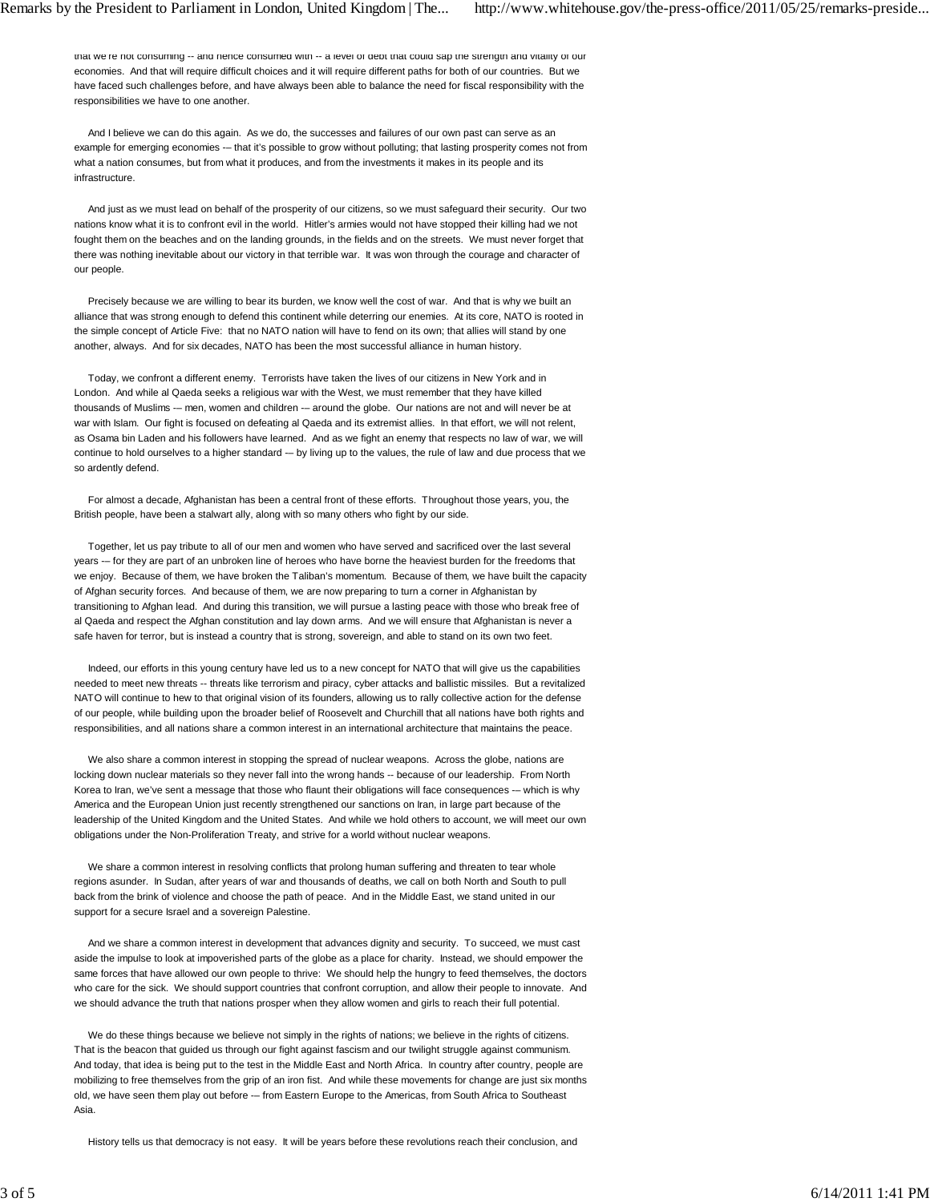that we're not consuming -- and hence consumed with -- a level or debt that could sap the strength and vitality or our economies. And that will require difficult choices and it will require different paths for both of our countries. But we have faced such challenges before, and have always been able to balance the need for fiscal responsibility with the responsibilities we have to one another.

 And I believe we can do this again. As we do, the successes and failures of our own past can serve as an example for emerging economies --- that it's possible to grow without polluting; that lasting prosperity comes not from what a nation consumes, but from what it produces, and from the investments it makes in its people and its infrastructure.

 And just as we must lead on behalf of the prosperity of our citizens, so we must safeguard their security. Our two nations know what it is to confront evil in the world. Hitler's armies would not have stopped their killing had we not fought them on the beaches and on the landing grounds, in the fields and on the streets. We must never forget that there was nothing inevitable about our victory in that terrible war. It was won through the courage and character of our people.

 Precisely because we are willing to bear its burden, we know well the cost of war. And that is why we built an alliance that was strong enough to defend this continent while deterring our enemies. At its core, NATO is rooted in the simple concept of Article Five: that no NATO nation will have to fend on its own; that allies will stand by one another, always. And for six decades, NATO has been the most successful alliance in human history.

 Today, we confront a different enemy. Terrorists have taken the lives of our citizens in New York and in London. And while al Qaeda seeks a religious war with the West, we must remember that they have killed thousands of Muslims -- men, women and children -- around the globe. Our nations are not and will never be at war with Islam. Our fight is focused on defeating al Qaeda and its extremist allies. In that effort, we will not relent, as Osama bin Laden and his followers have learned. And as we fight an enemy that respects no law of war, we will continue to hold ourselves to a higher standard -– by living up to the values, the rule of law and due process that we so ardently defend.

 For almost a decade, Afghanistan has been a central front of these efforts. Throughout those years, you, the British people, have been a stalwart ally, along with so many others who fight by our side.

 Together, let us pay tribute to all of our men and women who have served and sacrificed over the last several years --- for they are part of an unbroken line of heroes who have borne the heaviest burden for the freedoms that we enjoy. Because of them, we have broken the Taliban's momentum. Because of them, we have built the capacity of Afghan security forces. And because of them, we are now preparing to turn a corner in Afghanistan by transitioning to Afghan lead. And during this transition, we will pursue a lasting peace with those who break free of al Qaeda and respect the Afghan constitution and lay down arms. And we will ensure that Afghanistan is never a safe haven for terror, but is instead a country that is strong, sovereign, and able to stand on its own two feet.

 Indeed, our efforts in this young century have led us to a new concept for NATO that will give us the capabilities needed to meet new threats -- threats like terrorism and piracy, cyber attacks and ballistic missiles. But a revitalized NATO will continue to hew to that original vision of its founders, allowing us to rally collective action for the defense of our people, while building upon the broader belief of Roosevelt and Churchill that all nations have both rights and responsibilities, and all nations share a common interest in an international architecture that maintains the peace.

 We also share a common interest in stopping the spread of nuclear weapons. Across the globe, nations are locking down nuclear materials so they never fall into the wrong hands -- because of our leadership. From North Korea to Iran, we've sent a message that those who flaunt their obligations will face consequences -– which is why America and the European Union just recently strengthened our sanctions on Iran, in large part because of the leadership of the United Kingdom and the United States. And while we hold others to account, we will meet our own obligations under the Non-Proliferation Treaty, and strive for a world without nuclear weapons.

 We share a common interest in resolving conflicts that prolong human suffering and threaten to tear whole regions asunder. In Sudan, after years of war and thousands of deaths, we call on both North and South to pull back from the brink of violence and choose the path of peace. And in the Middle East, we stand united in our support for a secure Israel and a sovereign Palestine.

 And we share a common interest in development that advances dignity and security. To succeed, we must cast aside the impulse to look at impoverished parts of the globe as a place for charity. Instead, we should empower the same forces that have allowed our own people to thrive: We should help the hungry to feed themselves, the doctors who care for the sick. We should support countries that confront corruption, and allow their people to innovate. And we should advance the truth that nations prosper when they allow women and girls to reach their full potential.

 We do these things because we believe not simply in the rights of nations; we believe in the rights of citizens. That is the beacon that guided us through our fight against fascism and our twilight struggle against communism. And today, that idea is being put to the test in the Middle East and North Africa. In country after country, people are mobilizing to free themselves from the grip of an iron fist. And while these movements for change are just six months old, we have seen them play out before -– from Eastern Europe to the Americas, from South Africa to Southeast Asia.

History tells us that democracy is not easy. It will be years before these revolutions reach their conclusion, and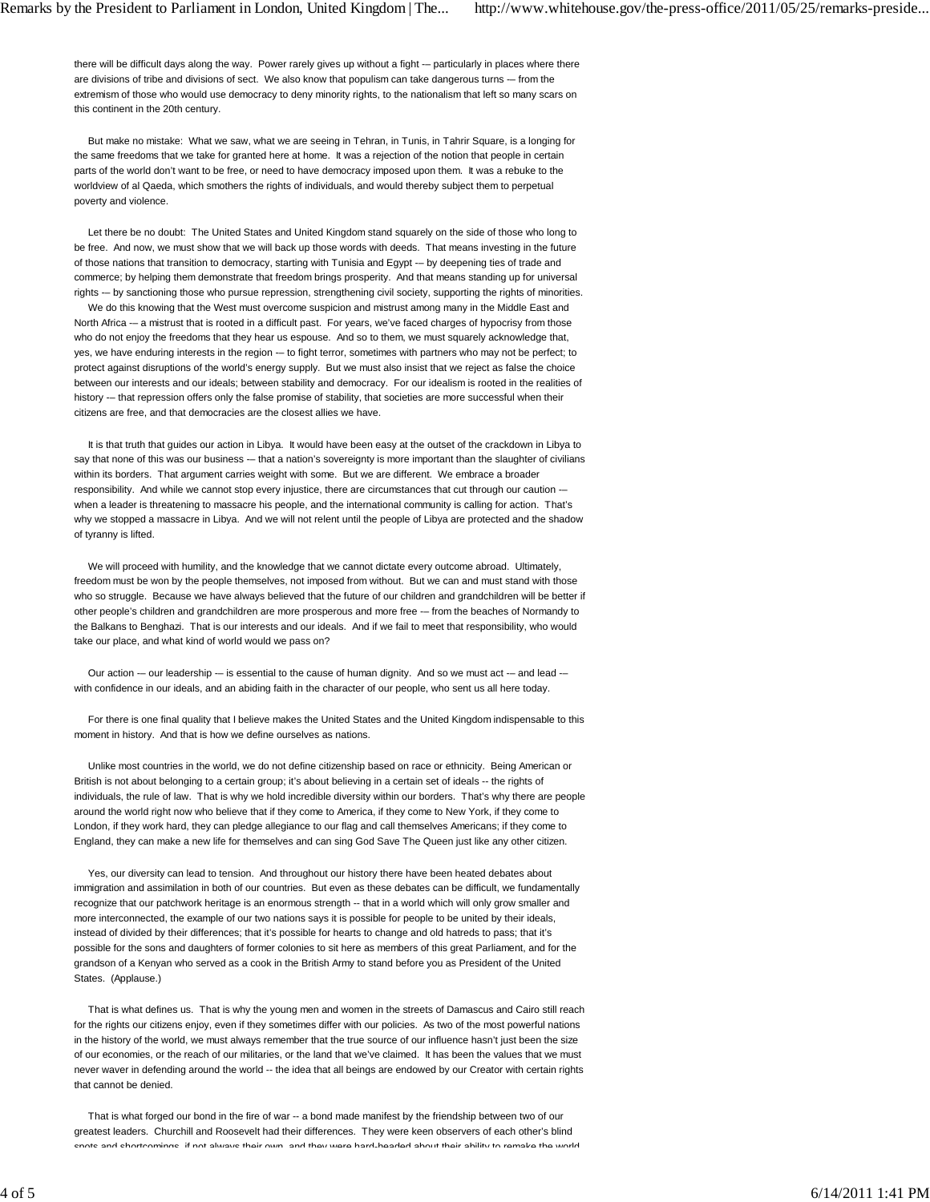there will be difficult days along the way. Power rarely gives up without a fight -- particularly in places where there are divisions of tribe and divisions of sect. We also know that populism can take dangerous turns -– from the extremism of those who would use democracy to deny minority rights, to the nationalism that left so many scars on this continent in the 20th century.

 But make no mistake: What we saw, what we are seeing in Tehran, in Tunis, in Tahrir Square, is a longing for the same freedoms that we take for granted here at home. It was a rejection of the notion that people in certain parts of the world don't want to be free, or need to have democracy imposed upon them. It was a rebuke to the worldview of al Qaeda, which smothers the rights of individuals, and would thereby subject them to perpetual poverty and violence.

 Let there be no doubt: The United States and United Kingdom stand squarely on the side of those who long to be free. And now, we must show that we will back up those words with deeds. That means investing in the future of those nations that transition to democracy, starting with Tunisia and Egypt -– by deepening ties of trade and commerce; by helping them demonstrate that freedom brings prosperity. And that means standing up for universal rights -– by sanctioning those who pursue repression, strengthening civil society, supporting the rights of minorities.

 We do this knowing that the West must overcome suspicion and mistrust among many in the Middle East and North Africa -– a mistrust that is rooted in a difficult past. For years, we've faced charges of hypocrisy from those who do not enjoy the freedoms that they hear us espouse. And so to them, we must squarely acknowledge that, yes, we have enduring interests in the region -- to fight terror, sometimes with partners who may not be perfect; to protect against disruptions of the world's energy supply. But we must also insist that we reject as false the choice between our interests and our ideals; between stability and democracy. For our idealism is rooted in the realities of history --- that repression offers only the false promise of stability, that societies are more successful when their citizens are free, and that democracies are the closest allies we have.

 It is that truth that guides our action in Libya. It would have been easy at the outset of the crackdown in Libya to say that none of this was our business -- that a nation's sovereignty is more important than the slaughter of civilians within its borders. That argument carries weight with some. But we are different. We embrace a broader responsibility. And while we cannot stop every injustice, there are circumstances that cut through our caution -when a leader is threatening to massacre his people, and the international community is calling for action. That's why we stopped a massacre in Libya. And we will not relent until the people of Libya are protected and the shadow of tyranny is lifted.

 We will proceed with humility, and the knowledge that we cannot dictate every outcome abroad. Ultimately, freedom must be won by the people themselves, not imposed from without. But we can and must stand with those who so struggle. Because we have always believed that the future of our children and grandchildren will be better if other people's children and grandchildren are more prosperous and more free -– from the beaches of Normandy to the Balkans to Benghazi. That is our interests and our ideals. And if we fail to meet that responsibility, who would take our place, and what kind of world would we pass on?

Our action -- our leadership -- is essential to the cause of human dignity. And so we must act -- and lead -with confidence in our ideals, and an abiding faith in the character of our people, who sent us all here today.

 For there is one final quality that I believe makes the United States and the United Kingdom indispensable to this moment in history. And that is how we define ourselves as nations.

 Unlike most countries in the world, we do not define citizenship based on race or ethnicity. Being American or British is not about belonging to a certain group; it's about believing in a certain set of ideals -- the rights of individuals, the rule of law. That is why we hold incredible diversity within our borders. That's why there are people around the world right now who believe that if they come to America, if they come to New York, if they come to London, if they work hard, they can pledge allegiance to our flag and call themselves Americans; if they come to England, they can make a new life for themselves and can sing God Save The Queen just like any other citizen.

 Yes, our diversity can lead to tension. And throughout our history there have been heated debates about immigration and assimilation in both of our countries. But even as these debates can be difficult, we fundamentally recognize that our patchwork heritage is an enormous strength -- that in a world which will only grow smaller and more interconnected, the example of our two nations says it is possible for people to be united by their ideals, instead of divided by their differences; that it's possible for hearts to change and old hatreds to pass; that it's possible for the sons and daughters of former colonies to sit here as members of this great Parliament, and for the grandson of a Kenyan who served as a cook in the British Army to stand before you as President of the United States. (Applause.)

 That is what defines us. That is why the young men and women in the streets of Damascus and Cairo still reach for the rights our citizens enjoy, even if they sometimes differ with our policies. As two of the most powerful nations in the history of the world, we must always remember that the true source of our influence hasn't just been the size of our economies, or the reach of our militaries, or the land that we've claimed. It has been the values that we must never waver in defending around the world -- the idea that all beings are endowed by our Creator with certain rights that cannot be denied.

 That is what forged our bond in the fire of war -- a bond made manifest by the friendship between two of our greatest leaders. Churchill and Roosevelt had their differences. They were keen observers of each other's blind spots and shortcomings if not always their own and they were hard-headed about their ability to remake the world